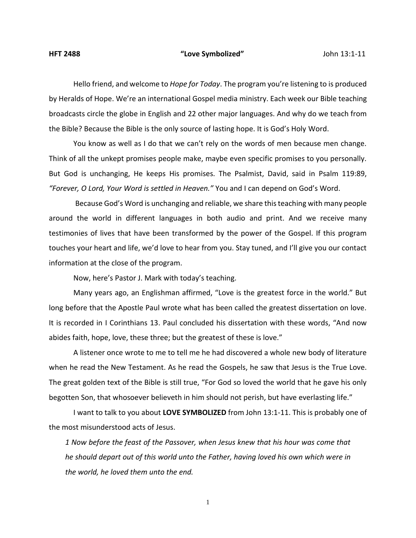## **HFT 2488 "Love Symbolized"** John 13:1-11

Hello friend, and welcome to *Hope for Today*. The program you're listening to is produced by Heralds of Hope. We're an international Gospel media ministry. Each week our Bible teaching broadcasts circle the globe in English and 22 other major languages. And why do we teach from the Bible? Because the Bible is the only source of lasting hope. It is God's Holy Word.

You know as well as I do that we can't rely on the words of men because men change. Think of all the unkept promises people make, maybe even specific promises to you personally. But God is unchanging, He keeps His promises. The Psalmist, David, said in Psalm 119:89, *"Forever, O Lord, Your Word is settled in Heaven."* You and I can depend on God's Word.

Because God's Word is unchanging and reliable, we share this teaching with many people around the world in different languages in both audio and print. And we receive many testimonies of lives that have been transformed by the power of the Gospel. If this program touches your heart and life, we'd love to hear from you. Stay tuned, and I'll give you our contact information at the close of the program.

Now, here's Pastor J. Mark with today's teaching.

Many years ago, an Englishman affirmed, "Love is the greatest force in the world." But long before that the Apostle Paul wrote what has been called the greatest dissertation on love. It is recorded in I Corinthians 13. Paul concluded his dissertation with these words, "And now abides faith, hope, love, these three; but the greatest of these is love."

A listener once wrote to me to tell me he had discovered a whole new body of literature when he read the New Testament. As he read the Gospels, he saw that Jesus is the True Love. The great golden text of the Bible is still true, "For God so loved the world that he gave his only begotten Son, that whosoever believeth in him should not perish, but have everlasting life."

I want to talk to you about **LOVE SYMBOLIZED** from John 13:1-11. This is probably one of the most misunderstood acts of Jesus.

*1 Now before the feast of the Passover, when Jesus knew that his hour was come that he should depart out of this world unto the Father, having loved his own which were in the world, he loved them unto the end.*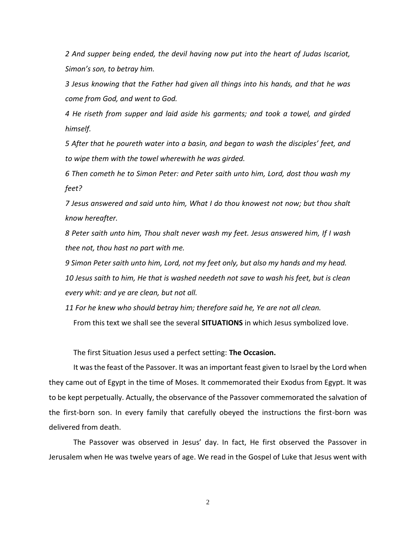*2 And supper being ended, the devil having now put into the heart of Judas Iscariot, Simon's son, to betray him.*

*3 Jesus knowing that the Father had given all things into his hands, and that he was come from God, and went to God.*

*4 He riseth from supper and laid aside his garments; and took a towel, and girded himself.*

*5 After that he poureth water into a basin, and began to wash the disciples' feet, and to wipe them with the towel wherewith he was girded.*

*6 Then cometh he to Simon Peter: and Peter saith unto him, Lord, dost thou wash my feet?*

*7 Jesus answered and said unto him, What I do thou knowest not now; but thou shalt know hereafter.*

*8 Peter saith unto him, Thou shalt never wash my feet. Jesus answered him, If I wash thee not, thou hast no part with me.*

*9 Simon Peter saith unto him, Lord, not my feet only, but also my hands and my head.*

*10 Jesus saith to him, He that is washed needeth not save to wash his feet, but is clean every whit: and ye are clean, but not all.*

*11 For he knew who should betray him; therefore said he, Ye are not all clean.*

From this text we shall see the several **SITUATIONS** in which Jesus symbolized love.

The first Situation Jesus used a perfect setting: **The Occasion.**

It was the feast of the Passover. It was an important feast given to Israel by the Lord when they came out of Egypt in the time of Moses. It commemorated their Exodus from Egypt. It was to be kept perpetually. Actually, the observance of the Passover commemorated the salvation of the first-born son. In every family that carefully obeyed the instructions the first-born was delivered from death.

The Passover was observed in Jesus' day. In fact, He first observed the Passover in Jerusalem when He was twelve years of age. We read in the Gospel of Luke that Jesus went with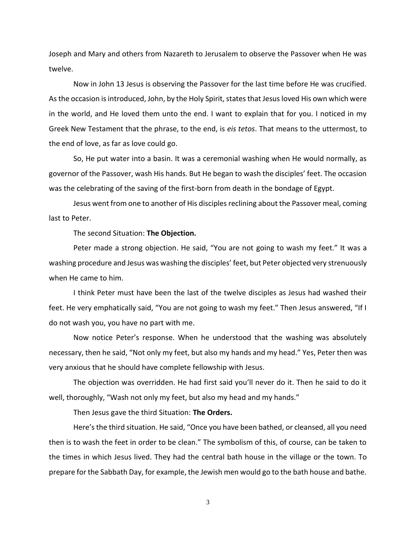Joseph and Mary and others from Nazareth to Jerusalem to observe the Passover when He was twelve.

Now in John 13 Jesus is observing the Passover for the last time before He was crucified. As the occasion is introduced, John, by the Holy Spirit, states that Jesus loved His own which were in the world, and He loved them unto the end. I want to explain that for you. I noticed in my Greek New Testament that the phrase, to the end, is *eis tetos*. That means to the uttermost, to the end of love, as far as love could go.

So, He put water into a basin. It was a ceremonial washing when He would normally, as governor of the Passover, wash His hands. But He began to wash the disciples' feet. The occasion was the celebrating of the saving of the first-born from death in the bondage of Egypt.

Jesus went from one to another of His disciples reclining about the Passover meal, coming last to Peter.

The second Situation: **The Objection.**

Peter made a strong objection. He said, "You are not going to wash my feet." It was a washing procedure and Jesus was washing the disciples' feet, but Peter objected very strenuously when He came to him.

I think Peter must have been the last of the twelve disciples as Jesus had washed their feet. He very emphatically said, "You are not going to wash my feet." Then Jesus answered, "If I do not wash you, you have no part with me.

Now notice Peter's response. When he understood that the washing was absolutely necessary, then he said, "Not only my feet, but also my hands and my head." Yes, Peter then was very anxious that he should have complete fellowship with Jesus.

The objection was overridden. He had first said you'll never do it. Then he said to do it well, thoroughly, "Wash not only my feet, but also my head and my hands."

Then Jesus gave the third Situation: **The Orders.**

Here's the third situation. He said, "Once you have been bathed, or cleansed, all you need then is to wash the feet in order to be clean." The symbolism of this, of course, can be taken to the times in which Jesus lived. They had the central bath house in the village or the town. To prepare for the Sabbath Day, for example, the Jewish men would go to the bath house and bathe.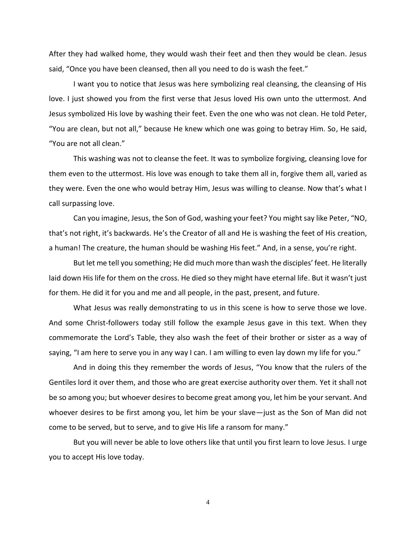After they had walked home, they would wash their feet and then they would be clean. Jesus said, "Once you have been cleansed, then all you need to do is wash the feet."

I want you to notice that Jesus was here symbolizing real cleansing, the cleansing of His love. I just showed you from the first verse that Jesus loved His own unto the uttermost. And Jesus symbolized His love by washing their feet. Even the one who was not clean. He told Peter, "You are clean, but not all," because He knew which one was going to betray Him. So, He said, "You are not all clean."

This washing was not to cleanse the feet. It was to symbolize forgiving, cleansing love for them even to the uttermost. His love was enough to take them all in, forgive them all, varied as they were. Even the one who would betray Him, Jesus was willing to cleanse. Now that's what I call surpassing love.

Can you imagine, Jesus, the Son of God, washing your feet? You might say like Peter, "NO, that's not right, it's backwards. He's the Creator of all and He is washing the feet of His creation, a human! The creature, the human should be washing His feet." And, in a sense, you're right.

But let me tell you something; He did much more than wash the disciples' feet. He literally laid down His life for them on the cross. He died so they might have eternal life. But it wasn't just for them. He did it for you and me and all people, in the past, present, and future.

What Jesus was really demonstrating to us in this scene is how to serve those we love. And some Christ-followers today still follow the example Jesus gave in this text. When they commemorate the Lord's Table, they also wash the feet of their brother or sister as a way of saying, "I am here to serve you in any way I can. I am willing to even lay down my life for you."

And in doing this they remember the words of Jesus, "You know that the rulers of the Gentiles lord it over them, and those who are great exercise authority over them. Yet it shall not be so among you; but whoever desires to become great among you, let him be your servant. And whoever desires to be first among you, let him be your slave—just as the Son of Man did not come to be served, but to serve, and to give His life a ransom for many."

But you will never be able to love others like that until you first learn to love Jesus. I urge you to accept His love today.